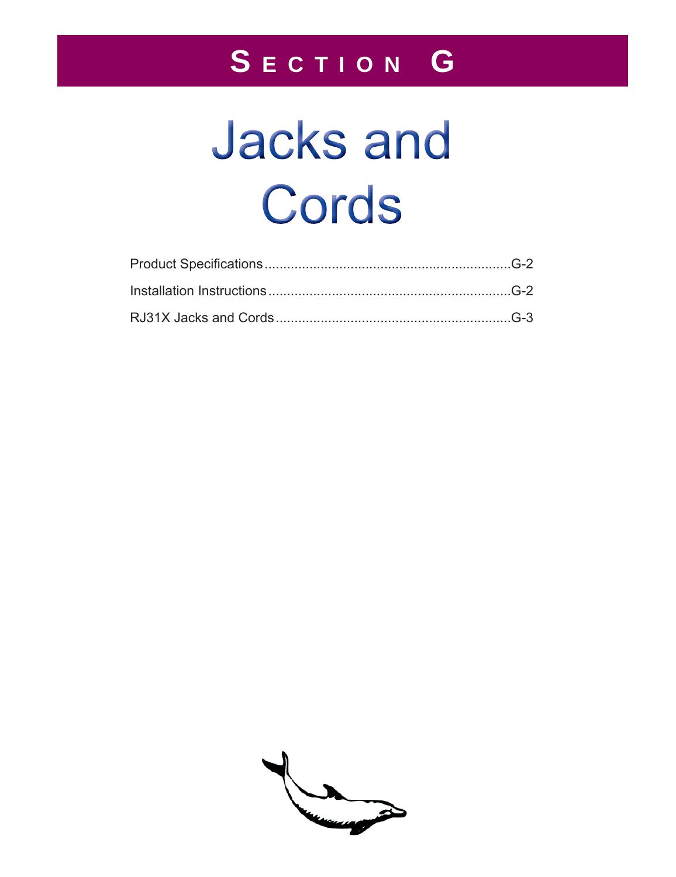## SECTION G

# **Jacks and** Cords

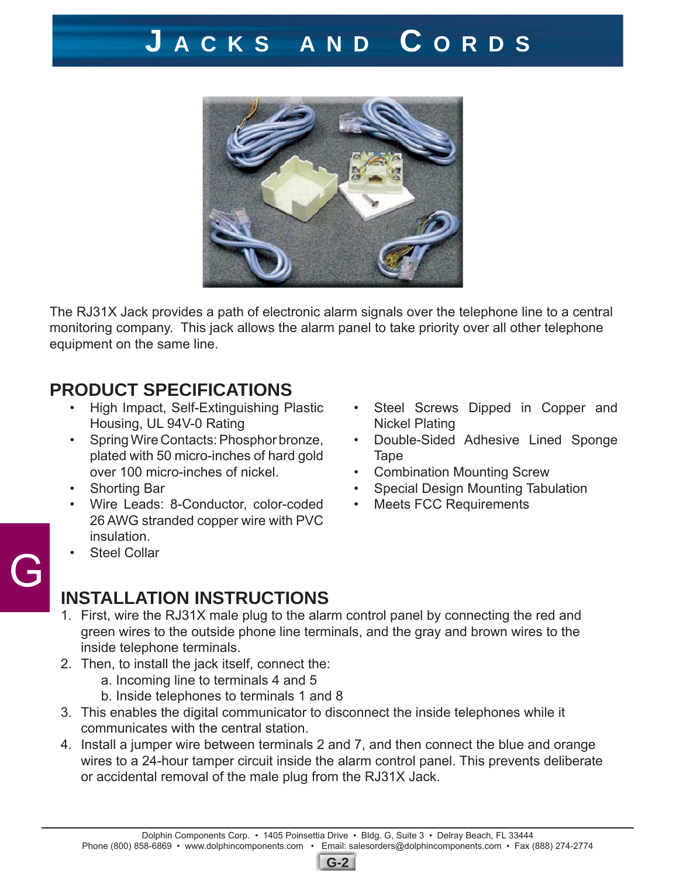### **J ACKS AND C ORDS**



The RJ31X Jack provides a path of electronic alarm signals over the telephone line to a central monitoring company. This jack allows the alarm panel to take priority over all other telephone equipment on the same line.

#### **PRODUCT SPECIFICATIONS**

- High Impact, Self-Extinguishing Plastic Housing, UL 94V-0 Rating
- Spring Wire Contacts: Phosphor bronze, plated with 50 micro-inches of hard gold over 100 micro-inches of nickel.
- Shorting Bar
- Wire Leads: 8-Conductor, color-coded 26 AWG stranded copper wire with PVC insulation.
- **Steel Collar**

G

- Steel Screws Dipped in Copper and Nickel Plating
- Double-Sided Adhesive Lined Sponge **Tape**
- Combination Mounting Screw
- Special Design Mounting Tabulation
- Meets FCC Requirements

#### **INSTALLATION INSTRUCTIONS**

- 1. First, wire the RJ31X male plug to the alarm control panel by connecting the red and green wires to the outside phone line terminals, and the gray and brown wires to the inside telephone terminals.
- 2. Then, to install the jack itself, connect the:
	- a. Incoming line to terminals 4 and 5
	- b. Inside telephones to terminals 1 and 8
- 3. This enables the digital communicator to disconnect the inside telephones while it communicates with the central station.
- 4. Install a jumper wire between terminals 2 and 7, and then connect the blue and orange wires to a 24-hour tamper circuit inside the alarm control panel. This prevents deliberate or accidental removal of the male plug from the RJ31X Jack.

**G-2**